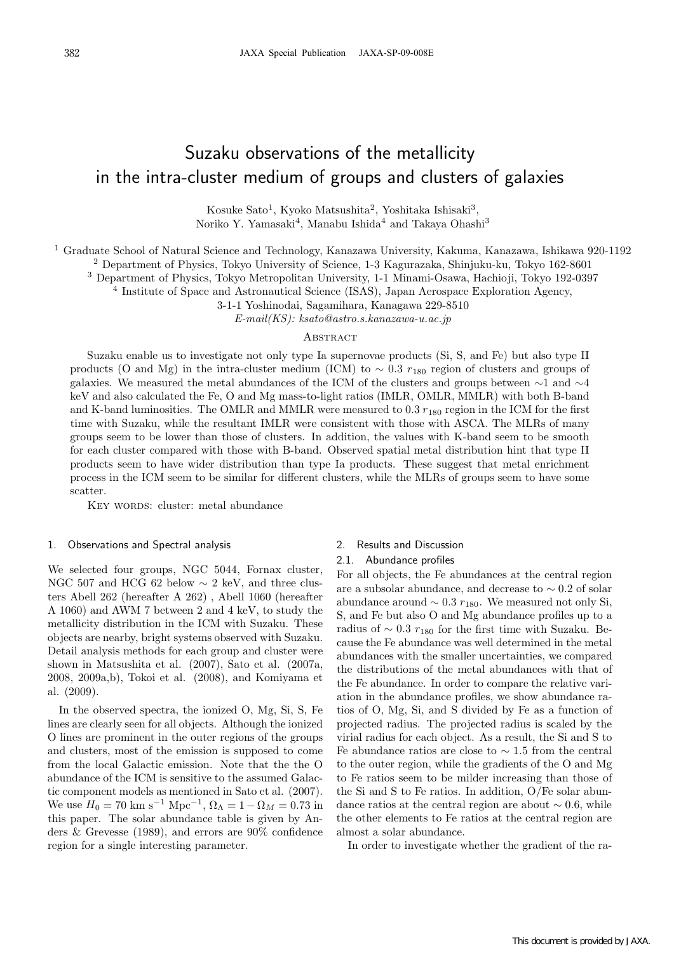# Suzaku observations of the metallicity in the intra-cluster medium of groups and clusters of galaxies

Kosuke Sato<sup>1</sup>, Kyoko Matsushita<sup>2</sup>, Yoshitaka Ishisaki<sup>3</sup>, Noriko Y. Yamasaki<sup>4</sup>, Manabu Ishida<sup>4</sup> and Takaya Ohashi<sup>3</sup>

<sup>1</sup> Graduate School of Natural Science and Technology, Kanazawa University, Kakuma, Kanazawa, Ishikawa 920-1192

<sup>2</sup> Department of Physics, Tokyo University of Science, 1-3 Kagurazaka, Shinjuku-ku, Tokyo 162-8601

<sup>3</sup> Department of Physics, Tokyo Metropolitan University, 1-1 Minami-Osawa, Hachioji, Tokyo 192-0397

<sup>4</sup> Institute of Space and Astronautical Science (ISAS), Japan Aerospace Exploration Agency,

3-1-1 Yoshinodai, Sagamihara, Kanagawa 229-8510

E-mail(KS): ksato@astro.s.kanazawa-u.ac.jp

## **ABSTRACT**

Suzaku enable us to investigate not only type Ia supernovae products (Si, S, and Fe) but also type II products (O and Mg) in the intra-cluster medium (ICM) to  $\sim 0.3$  r<sub>180</sub> region of clusters and groups of galaxies. We measured the metal abundances of the ICM of the clusters and groups between ∼1 and ∼4 keV and also calculated the Fe, O and Mg mass-to-light ratios (IMLR, OMLR, MMLR) with both B-band and K-band luminosities. The OMLR and MMLR were measured to  $0.3 r_{180}$  region in the ICM for the first time with Suzaku, while the resultant IMLR were consistent with those with ASCA. The MLRs of many groups seem to be lower than those of clusters. In addition, the values with K-band seem to be smooth for each cluster compared with those with B-band. Observed spatial metal distribution hint that type II products seem to have wider distribution than type Ia products. These suggest that metal enrichment process in the ICM seem to be similar for different clusters, while the MLRs of groups seem to have some scatter.

KEY WORDS: cluster: metal abundance

#### 1. Observations and Spectral analysis

We selected four groups, NGC 5044, Fornax cluster, NGC 507 and HCG 62 below  $\sim$  2 keV, and three clusters Abell 262 (hereafter A 262) , Abell 1060 (hereafter A 1060) and AWM 7 between 2 and 4 keV, to study the metallicity distribution in the ICM with Suzaku. These objects are nearby, bright systems observed with Suzaku. Detail analysis methods for each group and cluster were shown in Matsushita et al. (2007), Sato et al. (2007a, 2008, 2009a,b), Tokoi et al. (2008), and Komiyama et al. (2009).

In the observed spectra, the ionized O, Mg, Si, S, Fe lines are clearly seen for all objects. Although the ionized O lines are prominent in the outer regions of the groups and clusters, most of the emission is supposed to come from the local Galactic emission. Note that the the O abundance of the ICM is sensitive to the assumed Galactic component models as mentioned in Sato et al. (2007). We use  $H_0 = 70 \text{ km s}^{-1} \text{ Mpc}^{-1}, \Omega_{\Lambda} = 1 - \Omega_M = 0.73 \text{ in}$ this paper. The solar abundance table is given by Anders & Grevesse (1989), and errors are 90% confidence region for a single interesting parameter.

### 2. Results and Discussion

### 2.1. Abundance profiles

For all objects, the Fe abundances at the central region are a subsolar abundance, and decrease to ∼ 0.2 of solar abundance around  $\sim$  0.3  $r_{180}$ . We measured not only Si, S, and Fe but also O and Mg abundance profiles up to a radius of  $\sim$  0.3  $r_{180}$  for the first time with Suzaku. Because the Fe abundance was well determined in the metal abundances with the smaller uncertainties, we compared the distributions of the metal abundances with that of the Fe abundance. In order to compare the relative variation in the abundance profiles, we show abundance ratios of O, Mg, Si, and S divided by Fe as a function of projected radius. The projected radius is scaled by the virial radius for each object. As a result, the Si and S to Fe abundance ratios are close to  $\sim$  1.5 from the central to the outer region, while the gradients of the O and Mg to Fe ratios seem to be milder increasing than those of the Si and S to Fe ratios. In addition, O/Fe solar abundance ratios at the central region are about  $\sim 0.6$ , while the other elements to Fe ratios at the central region are almost a solar abundance.

In order to investigate whether the gradient of the ra-